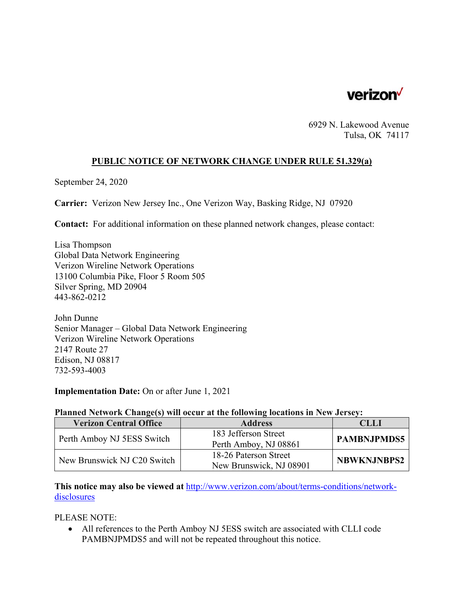

6929 N. Lakewood Avenue Tulsa, OK 74117

## **PUBLIC NOTICE OF NETWORK CHANGE UNDER RULE 51.329(a)**

September 24, 2020

**Carrier:** Verizon New Jersey Inc., One Verizon Way, Basking Ridge, NJ 07920

**Contact:** For additional information on these planned network changes, please contact:

Lisa Thompson Global Data Network Engineering Verizon Wireline Network Operations 13100 Columbia Pike, Floor 5 Room 505 Silver Spring, MD 20904 443-862-0212

John Dunne Senior Manager – Global Data Network Engineering Verizon Wireline Network Operations 2147 Route 27 Edison, NJ 08817 732-593-4003

**Implementation Date:** On or after June 1, 2021

## **Planned Network Change(s) will occur at the following locations in New Jersey:**

| <b>Verizon Central Office</b> | <b>Address</b>          | CLLI               |
|-------------------------------|-------------------------|--------------------|
| Perth Amboy NJ 5ESS Switch    | 183 Jefferson Street    | <b>PAMBNJPMDS5</b> |
|                               | Perth Amboy, NJ 08861   |                    |
| New Brunswick NJ C20 Switch   | 18-26 Paterson Street   | <b>NBWKNJNBPS2</b> |
|                               | New Brunswick, NJ 08901 |                    |

**This notice may also be viewed at** http://www.verizon.com/about/terms-conditions/networkdisclosures

PLEASE NOTE:

 All references to the Perth Amboy NJ 5ESS switch are associated with CLLI code PAMBNJPMDS5 and will not be repeated throughout this notice.